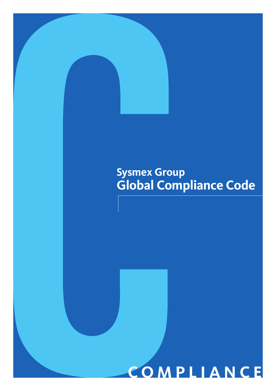# **Sysmex Group Global Compliance Code**

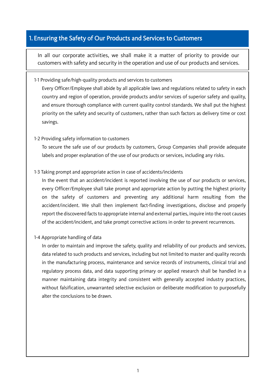# 1. Ensuring the Safety of Our Products and Services to Customers

In all our corporate activities, we shall make it a matter of priority to provide our customers with safety and security in the operation and use of our products and services.

#### 1-1 Providing safe/high-quality products and services to customers

Every Officer/Employee shall abide by all applicable laws and regulations related to safety in each country and region of operation, provide products and/or services of superior safety and quality, and ensure thorough compliance with current quality control standards. We shall put the highest priority on the safety and security of customers, rather than such factors as delivery time or cost savings.

#### 1-2 Providing safety information to customers

Ļ

L

To secure the safe use of our products by customers, Group Companies shall provide adequate labels and proper explanation of the use of our products or services, including any risks.

## 1-3 Taking prompt and appropriate action in case of accidents/incidents

In the event that an accident/incident is reported involving the use of our products or services, every Officer/Employee shall take prompt and appropriate action by putting the highest priority on the safety of customers and preventing any additional harm resulting from the accident/incident. We shall then implement fact-finding investigations, disclose and properly report the discovered facts to appropriate internal and external parties, inquire into the root causes of the accident/incident, and take prompt corrective actions in order to prevent recurrences.

#### 1-4 Appropriate handling of data

In order to maintain and improve the safety, quality and reliability of our products and services, data related to such products and services, including but not limited to master and quality records in the manufacturing process, maintenance and service records of instruments, clinical trial and regulatory process data, and data supporting primary or applied research shall be handled in a manner maintaining data integrity and consistent with generally accepted industry practices, without falsification, unwarranted selective exclusion or deliberate modification to purposefully alter the conclusions to be drawn.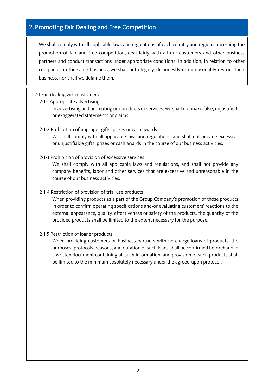#### J 2. Promoting Fair Dealing and Free Competition

We shall comply with all applicable laws and regulations of each country and region concerning the promotion of fair and free competition, deal fairly with all our customers and other business partners and conduct transactions under appropriate conditions. In addition, in relation to other companies in the same business, we shall not illegally, dishonestly or unreasonably restrict their business, nor shall we defame them.

# 2-1 Fair dealing with customers

 $\overline{\phantom{a}}$ 

2-1-1 Appropriate advertising

In advertising and promoting our products or services, we shall not make false, unjustified, or exaggerated statements or claims.

## 2-1-2 Prohibition of improper gifts, prizes or cash awards

We shall comply with all applicable laws and regulations, and shall not provide excessive or unjustifiable gifts, prizes or cash awards in the course of our business activities.

## 2-1-3 Prohibition of provision of excessive services

We shall comply with all applicable laws and regulations, and shall not provide any company benefits, labor and other services that are excessive and unreasonable in the course of our business activities.

## 2-1-4 Restriction of provision of trial-use products

When providing products as a part of the Group Company's promotion of those products in order to confirm operating specifications and/or evaluating customers' reactions to the external appearance, quality, effectiveness or safety of the products, the quantity of the provided products shall be limited to the extent necessary for the purpose.

#### 2-1-5 Restriction of loaner products

When providing customers or business partners with no-charge loans of products, the purposes, protocols, reasons, and duration of such loans shall be confirmed beforehand in a written document containing all such information, and provision of such products shall be limited to the minimum absolutely necessary under the agreed-upon protocol.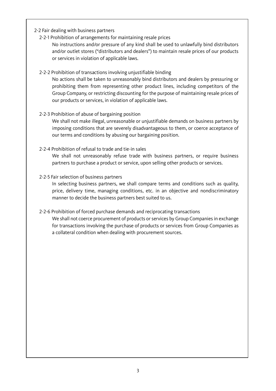# 2-2 Fair dealing with business partners

 $\mathsf{I}$  $\mathsf{I}$ 

2-2-1 Prohibition of arrangements for maintaining resale prices

No instructions and/or pressure of any kind shall be used to unlawfully bind distributors and/or outlet stores ("distributors and dealers") to maintain resale prices of our products or services in violation of applicable laws.

## 2-2-2 Prohibition of transactions involving unjustifiable binding

No actions shall be taken to unreasonably bind distributors and dealers by pressuring or prohibiting them from representing other product lines, including competitors of the Group Company, or restricting discounting for the purpose of maintaining resale prices of our products or services, in violation of applicable laws.

## 2-2-3 Prohibition of abuse of bargaining position

We shall not make illegal, unreasonable or unjustifiable demands on business partners by imposing conditions that are severely disadvantageous to them, or coerce acceptance of our terms and conditions by abusing our bargaining position.

## 2-2-4 Prohibition of refusal to trade and tie-in sales

We shall not unreasonably refuse trade with business partners, or require business partners to purchase a product or service, upon selling other products or services.

## 2-2-5 Fair selection of business partners

In selecting business partners, we shall compare terms and conditions such as quality, price, delivery time, managing conditions, etc. in an objective and nondiscriminatory manner to decide the business partners best suited to us.

# 2-2-6 Prohibition of forced purchase demands and reciprocating transactions

We shall not coerce procurement of products or services by Group Companies in exchange for transactions involving the purchase of products or services from Group Companies as a collateral condition when dealing with procurement sources.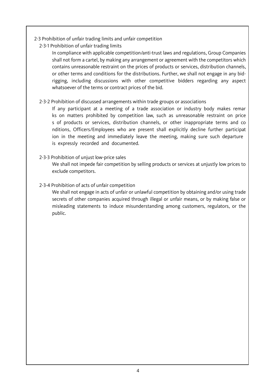- 2-3 Prohibition of unfair trading limits and unfair competition
	- 2-3-1 Prohibition of unfair trading limits

 $\mathsf{I}$  $\mathsf{I}$  $\mathsf{I}$  $\mathsf{I}$  $\mathsf{I}$ 

In compliance with applicable competition/anti-trust laws and regulations, Group Companies shall not form a cartel, by making any arrangement or agreement with the competitors which contains unreasonable restraint on the prices of products or services, distribution channels, or other terms and conditions for the distributions. Further, we shall not engage in any bidrigging, including discussions with other competitive bidders regarding any aspect whatsoever of the terms or contract prices of the bid.

2-3-2 Prohibition of discussed arrangements within trade groups or associations

If any participant at a meeting of a trade association or industry body makes remar ks on matters prohibited by competition law, such as unreasonable restraint on price s of products or services, distribution channels, or other inappropriate terms and co nditions, Officers/Employees who are present shall explicitly decline further participat ion in the meeting and immediately leave the meeting, making sure such departure is expressly recorded and documented.

2-3-3 Prohibition of unjust low-price sales

We shall not impede fair competition by selling products or services at unjustly low prices to exclude competitors.

# 2-3-4 Prohibition of acts of unfair competition

We shall not engage in acts of unfair or unlawful competition by obtaining and/or using trade secrets of other companies acquired through illegal or unfair means, or by making false or misleading statements to induce misunderstanding among customers, regulators, or the public.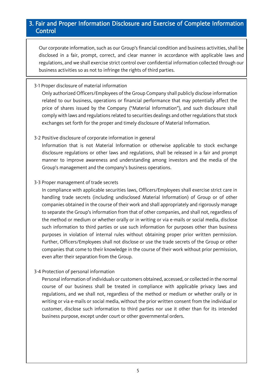# 3. Fair and Proper Information Disclosure and Exercise of Complete Information Control

Our corporate information, such as our Group's financial condition and business activities, shall be disclosed in a fair, prompt, correct, and clear manner in accordance with applicable laws and regulations, and we shall exercise strict control over confidential information collected through our business activities so as not to infringe the rights of third parties.

# 3-1 Proper disclosure of material information

 $\overline{\phantom{a}}$  $\overline{\phantom{a}}$  $\overline{\phantom{a}}$  $\overline{\phantom{a}}$ ſ I I I I I I I I I I I I I I I I I I I I I I I I I I I

I I I I

Only authorized Officers/Employees of the Group Company shall publicly disclose information related to our business, operations or financial performance that may potentially affect the price of shares issued by the Company ("Material Information"), and such disclosure shall comply with laws and regulations related to securities dealings and other regulations that stock exchanges set forth for the proper and timely disclosure of Material Information.

# 3-2 Positive disclosure of corporate information in general

Information that is not Material Information or otherwise applicable to stock exchange disclosure regulations or other laws and regulations, shall be released in a fair and prompt manner to improve awareness and understanding among investors and the media of the Group's management and the company's business operations.

# 3-3 Proper management of trade secrets

In compliance with applicable securities laws, Officers/Employees shall exercise strict care in handling trade secrets (including undisclosed Material Information) of Group or of other companies obtained in the course of their work and shall appropriately and rigorously manage to separate the Group's information from that of other companies, and shall not, regardless of the method or medium or whether orally or in writing or via e-mails or social media, disclose such information to third parties or use such information for purposes other than business purposes in violation of internal rules without obtaining proper prior written permission. Further, Officers/Employees shall not disclose or use the trade secrets of the Group or other companies that come to their knowledge in the course of their work without prior permission, even after their separation from the Group.

# 3-4 Protection of personal information

 business purpose, except under court or other governmental orders. Personal information of individuals or customers obtained, accessed, or collected in the normal course of our business shall be treated in compliance with applicable privacy laws and regulations, and we shall not, regardless of the method or medium or whether orally or in writing or via e-mails or social media, without the prior written consent from the individual or customer, disclose such information to third parties nor use it other than for its intended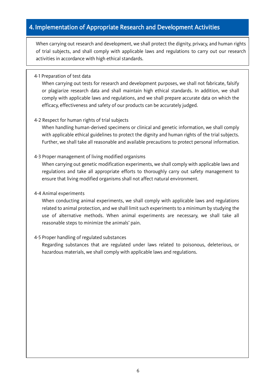# 4. Implementation of Appropriate Research and Development Activities

When carrying out research and development, we shall protect the dignity, privacy, and human rights of trial subjects, and shall comply with applicable laws and regulations to carry out our research activities in accordance with high ethical standards.

## 4-1 Preparation of test data

I L I

> When carrying out tests for research and development purposes, we shall not fabricate, falsify or plagiarize research data and shall maintain high ethical standards. In addition, we shall comply with applicable laws and regulations, and we shall prepare accurate data on which the efficacy, effectiveness and safety of our products can be accurately judged.

# 4-2 Respect for human rights of trial subjects

When handling human-derived specimens or clinical and genetic information, we shall comply with applicable ethical guidelines to protect the dignity and human rights of the trial subjects. Further, we shall take all reasonable and available precautions to protect personal information.

## 4-3 Proper management of living modified organisms

When carrying out genetic modification experiments, we shall comply with applicable laws and regulations and take all appropriate efforts to thoroughly carry out safety management to ensure that living modified organisms shall not affect natural environment.

## 4-4 Animal experiments

When conducting animal experiments, we shall comply with applicable laws and regulations related to animal protection, and we shall limit such experiments to a minimum by studying the use of alternative methods. When animal experiments are necessary, we shall take all reasonable steps to minimize the animals' pain.

#### 4-5 Proper handling of regulated substances

Regarding substances that are regulated under laws related to poisonous, deleterious, or hazardous materials, we shall comply with applicable laws and regulations.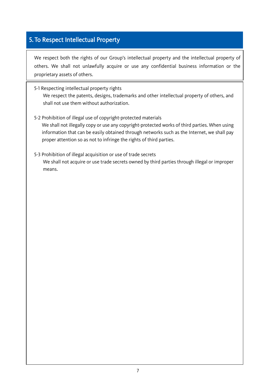# 5. To Respect Intellectual Property

We respect both the rights of our Group's intellectual property and the intellectual property of others. We shall not unlawfully acquire or use any confidential business information or the proprietary assets of others.

- 5-1 Respecting intellectual property rights We respect the patents, designs, trademarks and other intellectual property of others, and shall not use them without authorization.
- 5-2 Prohibition of illegal use of copyright-protected materials

We shall not illegally copy or use any copyright-protected works of third parties. When using information that can be easily obtained through networks such as the Internet, we shall pay proper attention so as not to infringe the rights of third parties.

5-3 Prohibition of illegal acquisition or use of trade secrets We shall not acquire or use trade secrets owned by third parties through illegal or improper means.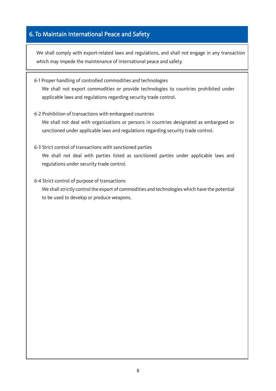# 6. To Maintain International Peace and Safety

I -<br>Г I I I I I I I I I I I I I I I I I I I I I I I I I I I I We shall comply with export-related laws and regulations, and shall not engage in any transaction which may impede the maintenance of international peace and safety.

- 6-1 Proper handling of controlled commodities and technologies We shall not export commodities or provide technologies to countries prohibited under applicable laws and regulations regarding security trade control.
- 6-2 Prohibition of transactions with embargoed countries We shall not deal with organizations or persons in countries designated as embargoed or sanctioned under applicable laws and regulations regarding security trade control.
- 6-3 Strict control of transactions with sanctioned parties

We shall not deal with parties listed as sanctioned parties under applicable laws and regulations under security trade control.

6-4 Strict control of purpose of transactions

We shall strictly control the export of commodities and technologies which have the potential to be used to develop or produce weapons.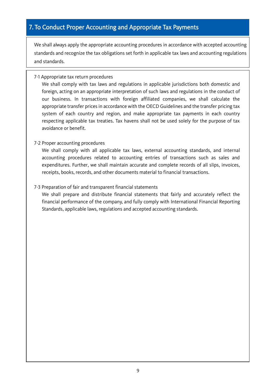We shall always apply the appropriate accounting procedures in accordance with accepted accounting standards and recognize the tax obligations set forth in applicable tax laws and accounting regulations and standards.

# 7-1 Appropriate tax return procedures

 $\mathsf{l}$  $\mathsf{l}$ 

> We shall comply with tax laws and regulations in applicable jurisdictions both domestic and foreign, acting on an appropriate interpretation of such laws and regulations in the conduct of our business. In transactions with foreign affiliated companies, we shall calculate the appropriate transfer prices in accordance with the OECD Guidelines and the transfer pricing tax system of each country and region, and make appropriate tax payments in each country respecting applicable tax treaties. Tax havens shall not be used solely for the purpose of tax avoidance or benefit.

# 7-2 Proper accounting procedures

We shall comply with all applicable tax laws, external accounting standards, and internal accounting procedures related to accounting entries of transactions such as sales and expenditures. Further, we shall maintain accurate and complete records of all slips, invoices, receipts, books, records, and other documents material to financial transactions.

# 7-3 Preparation of fair and transparent financial statements

We shall prepare and distribute financial statements that fairly and accurately reflect the financial performance of the company, and fully comply with International Financial Reporting Standards, applicable laws, regulations and accepted accounting standards.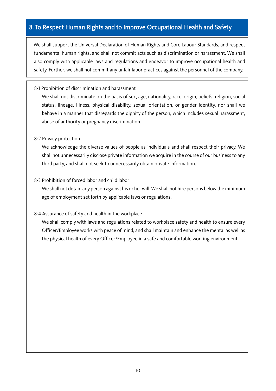# 8. To Respect Human Rights and to Improve Occupational Health and Safety

We shall support the Universal Declaration of Human Rights and Core Labour Standards, and respect fundamental human rights, and shall not commit acts such as discrimination or harassment. We shall also comply with applicable laws and regulations and endeavor to improve occupational health and safety. Further, we shall not commit any unfair labor practices against the personnel of the company.

#### 8-1 Prohibition of discrimination and harassment

We shall not discriminate on the basis of sex, age, nationality, race, origin, beliefs, religion, social status, lineage, illness, physical disability, sexual orientation, or gender identity, nor shall we behave in a manner that disregards the dignity of the person, which includes sexual harassment, abuse of authority or pregnancy discrimination.

#### 8-2 Privacy protection

We acknowledge the diverse values of people as individuals and shall respect their privacy. We shall not unnecessarily disclose private information we acquire in the course of our business to any third party, and shall not seek to unnecessarily obtain private information.

## 8-3 Prohibition of forced labor and child labor

We shall not detain any person against his or her will. We shall not hire persons below the minimum age of employment set forth by applicable laws or regulations.

# 8-4 Assurance of safety and health in the workplace

We shall comply with laws and regulations related to workplace safety and health to ensure every Officer/Employee works with peace of mind, and shall maintain and enhance the mental as well as the physical health of every Officer/Employee in a safe and comfortable working environment.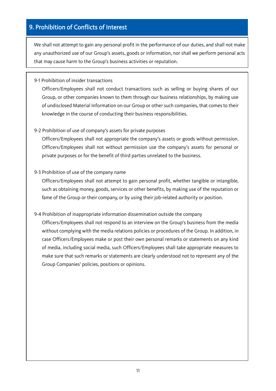# 9. Prohibition of Conflicts of Interest

I I I L ŗ I I I I I I I I I I I I I I I I I I I I I I I I I I I We shall not attempt to gain any personal profit in the performance of our duties, and shall not make any unauthorized use of our Group's assets, goods or information, nor shall we perform personal acts that may cause harm to the Group's business activities or reputation.

#### 9-1 Prohibition of insider transactions

Officers/Employees shall not conduct transactions such as selling or buying shares of our Group, or other companies known to them through our business relationships, by making use of undisclosed Material Information on our Group or other such companies, that comes to their knowledge in the course of conducting their business responsibilities.

## 9-2 Prohibition of use of company's assets for private purposes

Officers/Employees shall not appropriate the company's assets or goods without permission. Officers/Employees shall not without permission use the company's assets for personal or private purposes or for the benefit of third parties unrelated to the business.

## 9-3 Prohibition of use of the company name

Officers/Employees shall not attempt to gain personal profit, whether tangible or intangible, such as obtaining money, goods, services or other benefits, by making use of the reputation or fame of the Group or their company, or by using their job-related authority or position.

# 9-4 Prohibition of inappropriate information dissemination outside the company

 Group Companies' policies, positions or opinions. Officers/Employees shall not respond to an interview on the Group's business from the media without complying with the media relations policies or procedures of the Group. In addition, in case Officers/Employees make or post their own personal remarks or statements on any kind of media, including social media, such Officers/Employees shall take appropriate measures to make sure that such remarks or statements are clearly understood not to represent any of the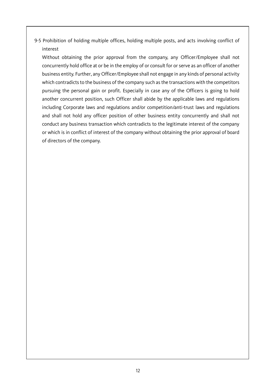9-5 Prohibition of holding multiple offices, holding multiple posts, and acts involving conflict of interest

Without obtaining the prior approval from the company, any Officer/Employee shall not concurrently hold office at or be in the employ of or consult for or serve as an officer of another business entity. Further, any Officer/Employee shall not engage in any kinds of personal activity which contradicts to the business of the company such as the transactions with the competitors pursuing the personal gain or profit. Especially in case any of the Officers is going to hold another concurrent position, such Officer shall abide by the applicable laws and regulations including Corporate laws and regulations and/or competition/anti-trust laws and regulations and shall not hold any officer position of other business entity concurrently and shall not conduct any business transaction which contradicts to the legitimate interest of the company or which is in conflict of interest of the company without obtaining the prior approval of board of directors of the company.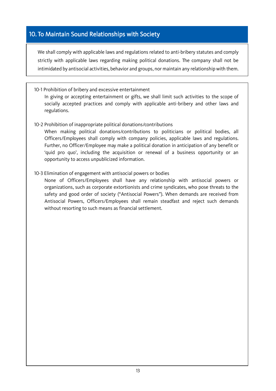# 10. To Maintain Sound Relationships with Society

 

> We shall comply with applicable laws and regulations related to anti-bribery statutes and comply strictly with applicable laws regarding making political donations. The company shall not be intimidated by antisocial activities, behavior and groups, nor maintain any relationship with them.

10-1 Prohibition of bribery and excessive entertainment

In giving or accepting entertainment or gifts, we shall limit such activities to the scope of socially accepted practices and comply with applicable anti-bribery and other laws and regulations.

10-2 Prohibition of inappropriate political donations/contributions

When making political donations/contributions to politicians or political bodies, all Officers/Employees shall comply with company policies, applicable laws and regulations. Further, no Officer/Employee may make a political donation in anticipation of any benefit or 'quid pro quo', including the acquisition or renewal of a business opportunity or an opportunity to access unpublicized information.

10-3 Elimination of engagement with antisocial powers or bodies

None of Officers/Employees shall have any relationship with antisocial powers or organizations, such as corporate extortionists and crime syndicates, who pose threats to the safety and good order of society ("Antisocial Powers"). When demands are received from Antisocial Powers, Officers/Employees shall remain steadfast and reject such demands without resorting to such means as financial settlement.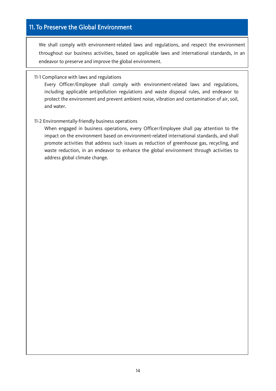# 11. To Preserve the Global Environment

I I I L Γ I I I I I I I I I I I I I I I I I I I I I I I I I I I We shall comply with environment-related laws and regulations, and respect the environment throughout our business activities, based on applicable laws and international standards, in an endeavor to preserve and improve the global environment.

11-1 Compliance with laws and regulations

Every Officer/Employee shall comply with environment-related laws and regulations, including applicable antipollution regulations and waste disposal rules, and endeavor to protect the environment and prevent ambient noise, vibration and contamination of air, soil, and water.

11-2 Environmentally-friendly business operations

When engaged in business operations, every Officer/Employee shall pay attention to the impact on the environment based on environment-related international standards, and shall promote activities that address such issues as reduction of greenhouse gas, recycling, and waste reduction, in an endeavor to enhance the global environment through activities to address global climate change.